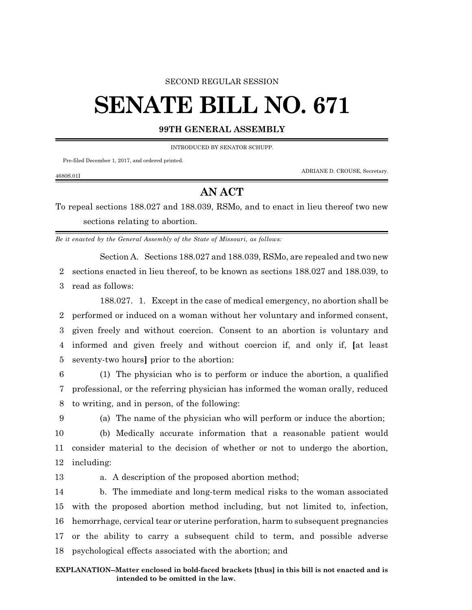## SECOND REGULAR SESSION

## **SENATE BILL NO. 671**

## **99TH GENERAL ASSEMBLY**

INTRODUCED BY SENATOR SCHUPP.

Pre-filed December 1, 2017, and ordered printed.

ADRIANE D. CROUSE, Secretary.

## **AN ACT**

To repeal sections 188.027 and 188.039, RSMo, and to enact in lieu thereof two new sections relating to abortion.

*Be it enacted by the General Assembly of the State of Missouri, as follows:*

Section A. Sections 188.027 and 188.039, RSMo, are repealed and two new 2 sections enacted in lieu thereof, to be known as sections 188.027 and 188.039, to 3 read as follows:

188.027. 1. Except in the case of medical emergency, no abortion shall be performed or induced on a woman without her voluntary and informed consent, given freely and without coercion. Consent to an abortion is voluntary and informed and given freely and without coercion if, and only if, **[**at least seventy-two hours**]** prior to the abortion:

6 (1) The physician who is to perform or induce the abortion, a qualified 7 professional, or the referring physician has informed the woman orally, reduced 8 to writing, and in person, of the following:

4680S.01I

9 (a) The name of the physician who will perform or induce the abortion;

10 (b) Medically accurate information that a reasonable patient would 11 consider material to the decision of whether or not to undergo the abortion, 12 including:

13 a. A description of the proposed abortion method;

 b. The immediate and long-term medical risks to the woman associated with the proposed abortion method including, but not limited to, infection, hemorrhage, cervical tear or uterine perforation, harm to subsequent pregnancies or the ability to carry a subsequent child to term, and possible adverse psychological effects associated with the abortion; and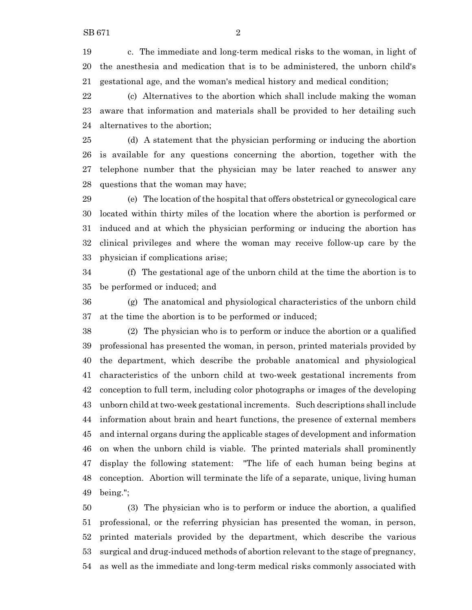c. The immediate and long-term medical risks to the woman, in light of the anesthesia and medication that is to be administered, the unborn child's gestational age, and the woman's medical history and medical condition;

 (c) Alternatives to the abortion which shall include making the woman aware that information and materials shall be provided to her detailing such alternatives to the abortion;

 (d) A statement that the physician performing or inducing the abortion is available for any questions concerning the abortion, together with the telephone number that the physician may be later reached to answer any questions that the woman may have;

 (e) The location of the hospital that offers obstetrical or gynecological care located within thirty miles of the location where the abortion is performed or induced and at which the physician performing or inducing the abortion has clinical privileges and where the woman may receive follow-up care by the physician if complications arise;

 (f) The gestational age of the unborn child at the time the abortion is to be performed or induced; and

 (g) The anatomical and physiological characteristics of the unborn child at the time the abortion is to be performed or induced;

 (2) The physician who is to perform or induce the abortion or a qualified professional has presented the woman, in person, printed materials provided by the department, which describe the probable anatomical and physiological characteristics of the unborn child at two-week gestational increments from conception to full term, including color photographs or images of the developing unborn child at two-week gestational increments. Such descriptions shall include information about brain and heart functions, the presence of external members and internal organs during the applicable stages of development and information on when the unborn child is viable. The printed materials shall prominently display the following statement: "The life of each human being begins at conception. Abortion will terminate the life of a separate, unique, living human being.";

 (3) The physician who is to perform or induce the abortion, a qualified professional, or the referring physician has presented the woman, in person, printed materials provided by the department, which describe the various surgical and drug-induced methods of abortion relevant to the stage of pregnancy, as well as the immediate and long-term medical risks commonly associated with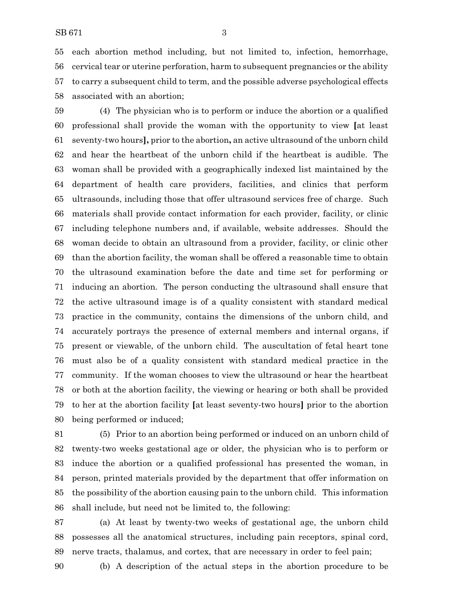each abortion method including, but not limited to, infection, hemorrhage, cervical tear or uterine perforation, harm to subsequent pregnancies or the ability to carry a subsequent child to term, and the possible adverse psychological effects associated with an abortion;

 (4) The physician who is to perform or induce the abortion or a qualified professional shall provide the woman with the opportunity to view **[**at least seventy-two hours**],** prior to the abortion**,** an active ultrasound of the unborn child and hear the heartbeat of the unborn child if the heartbeat is audible. The woman shall be provided with a geographically indexed list maintained by the department of health care providers, facilities, and clinics that perform ultrasounds, including those that offer ultrasound services free of charge. Such materials shall provide contact information for each provider, facility, or clinic including telephone numbers and, if available, website addresses. Should the woman decide to obtain an ultrasound from a provider, facility, or clinic other than the abortion facility, the woman shall be offered a reasonable time to obtain the ultrasound examination before the date and time set for performing or inducing an abortion. The person conducting the ultrasound shall ensure that the active ultrasound image is of a quality consistent with standard medical practice in the community, contains the dimensions of the unborn child, and accurately portrays the presence of external members and internal organs, if present or viewable, of the unborn child. The auscultation of fetal heart tone must also be of a quality consistent with standard medical practice in the community. If the woman chooses to view the ultrasound or hear the heartbeat or both at the abortion facility, the viewing or hearing or both shall be provided to her at the abortion facility **[**at least seventy-two hours**]** prior to the abortion being performed or induced;

 (5) Prior to an abortion being performed or induced on an unborn child of twenty-two weeks gestational age or older, the physician who is to perform or induce the abortion or a qualified professional has presented the woman, in person, printed materials provided by the department that offer information on the possibility of the abortion causing pain to the unborn child. This information shall include, but need not be limited to, the following:

 (a) At least by twenty-two weeks of gestational age, the unborn child possesses all the anatomical structures, including pain receptors, spinal cord, nerve tracts, thalamus, and cortex, that are necessary in order to feel pain;

(b) A description of the actual steps in the abortion procedure to be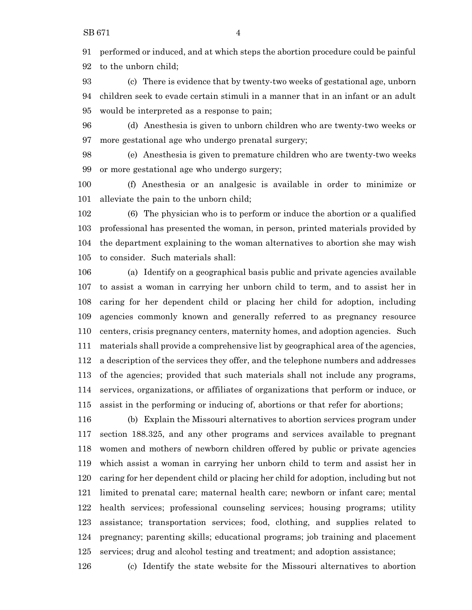performed or induced, and at which steps the abortion procedure could be painful to the unborn child;

 (c) There is evidence that by twenty-two weeks of gestational age, unborn children seek to evade certain stimuli in a manner that in an infant or an adult would be interpreted as a response to pain;

 (d) Anesthesia is given to unborn children who are twenty-two weeks or more gestational age who undergo prenatal surgery;

 (e) Anesthesia is given to premature children who are twenty-two weeks or more gestational age who undergo surgery;

 (f) Anesthesia or an analgesic is available in order to minimize or alleviate the pain to the unborn child;

 (6) The physician who is to perform or induce the abortion or a qualified professional has presented the woman, in person, printed materials provided by the department explaining to the woman alternatives to abortion she may wish to consider. Such materials shall:

 (a) Identify on a geographical basis public and private agencies available to assist a woman in carrying her unborn child to term, and to assist her in caring for her dependent child or placing her child for adoption, including agencies commonly known and generally referred to as pregnancy resource centers, crisis pregnancy centers, maternity homes, and adoption agencies. Such materials shall provide a comprehensive list by geographical area of the agencies, a description of the services they offer, and the telephone numbers and addresses of the agencies; provided that such materials shall not include any programs, services, organizations, or affiliates of organizations that perform or induce, or assist in the performing or inducing of, abortions or that refer for abortions;

 (b) Explain the Missouri alternatives to abortion services program under section 188.325, and any other programs and services available to pregnant women and mothers of newborn children offered by public or private agencies which assist a woman in carrying her unborn child to term and assist her in caring for her dependent child or placing her child for adoption, including but not limited to prenatal care; maternal health care; newborn or infant care; mental health services; professional counseling services; housing programs; utility assistance; transportation services; food, clothing, and supplies related to pregnancy; parenting skills; educational programs; job training and placement services; drug and alcohol testing and treatment; and adoption assistance;

(c) Identify the state website for the Missouri alternatives to abortion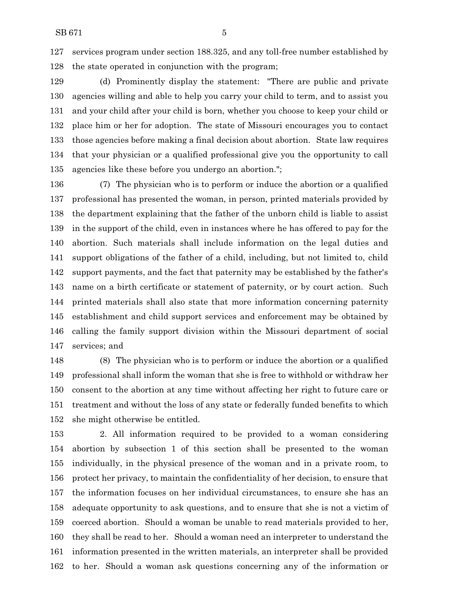services program under section 188.325, and any toll-free number established by the state operated in conjunction with the program;

 (d) Prominently display the statement: "There are public and private agencies willing and able to help you carry your child to term, and to assist you and your child after your child is born, whether you choose to keep your child or place him or her for adoption. The state of Missouri encourages you to contact those agencies before making a final decision about abortion. State law requires that your physician or a qualified professional give you the opportunity to call agencies like these before you undergo an abortion.";

 (7) The physician who is to perform or induce the abortion or a qualified professional has presented the woman, in person, printed materials provided by the department explaining that the father of the unborn child is liable to assist in the support of the child, even in instances where he has offered to pay for the abortion. Such materials shall include information on the legal duties and support obligations of the father of a child, including, but not limited to, child support payments, and the fact that paternity may be established by the father's name on a birth certificate or statement of paternity, or by court action. Such printed materials shall also state that more information concerning paternity establishment and child support services and enforcement may be obtained by calling the family support division within the Missouri department of social services; and

 (8) The physician who is to perform or induce the abortion or a qualified professional shall inform the woman that she is free to withhold or withdraw her consent to the abortion at any time without affecting her right to future care or treatment and without the loss of any state or federally funded benefits to which she might otherwise be entitled.

 2. All information required to be provided to a woman considering abortion by subsection 1 of this section shall be presented to the woman individually, in the physical presence of the woman and in a private room, to protect her privacy, to maintain the confidentiality of her decision, to ensure that the information focuses on her individual circumstances, to ensure she has an adequate opportunity to ask questions, and to ensure that she is not a victim of coerced abortion. Should a woman be unable to read materials provided to her, they shall be read to her. Should a woman need an interpreter to understand the information presented in the written materials, an interpreter shall be provided to her. Should a woman ask questions concerning any of the information or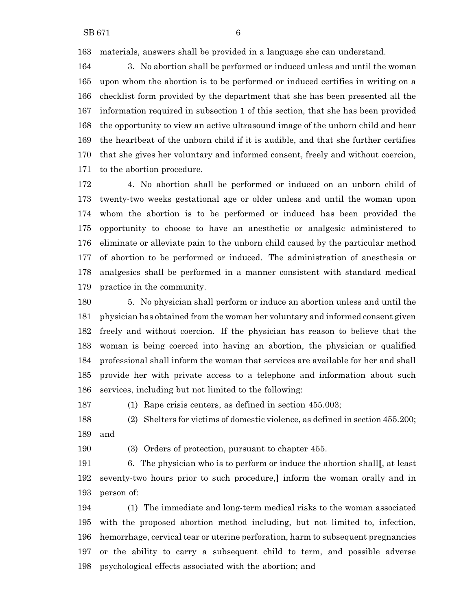materials, answers shall be provided in a language she can understand.

 3. No abortion shall be performed or induced unless and until the woman upon whom the abortion is to be performed or induced certifies in writing on a checklist form provided by the department that she has been presented all the information required in subsection 1 of this section, that she has been provided the opportunity to view an active ultrasound image of the unborn child and hear the heartbeat of the unborn child if it is audible, and that she further certifies that she gives her voluntary and informed consent, freely and without coercion, to the abortion procedure.

 4. No abortion shall be performed or induced on an unborn child of twenty-two weeks gestational age or older unless and until the woman upon whom the abortion is to be performed or induced has been provided the opportunity to choose to have an anesthetic or analgesic administered to eliminate or alleviate pain to the unborn child caused by the particular method of abortion to be performed or induced. The administration of anesthesia or analgesics shall be performed in a manner consistent with standard medical practice in the community.

 5. No physician shall perform or induce an abortion unless and until the physician has obtained from the woman her voluntary and informed consent given freely and without coercion. If the physician has reason to believe that the woman is being coerced into having an abortion, the physician or qualified professional shall inform the woman that services are available for her and shall provide her with private access to a telephone and information about such services, including but not limited to the following:

(1) Rape crisis centers, as defined in section 455.003;

 (2) Shelters for victims of domestic violence, as defined in section 455.200; and

(3) Orders of protection, pursuant to chapter 455.

 6. The physician who is to perform or induce the abortion shall**[**, at least seventy-two hours prior to such procedure,**]** inform the woman orally and in person of:

 (1) The immediate and long-term medical risks to the woman associated with the proposed abortion method including, but not limited to, infection, hemorrhage, cervical tear or uterine perforation, harm to subsequent pregnancies or the ability to carry a subsequent child to term, and possible adverse psychological effects associated with the abortion; and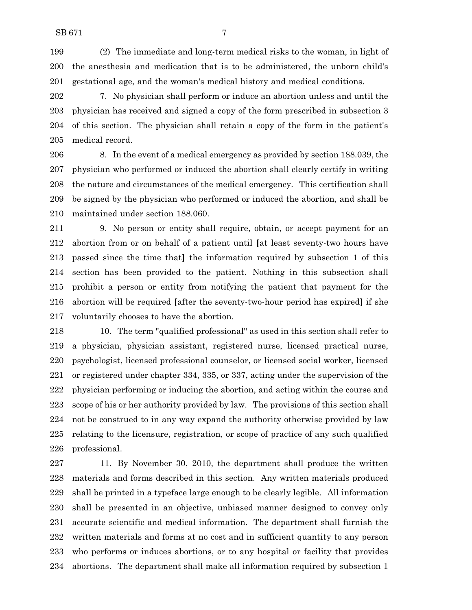(2) The immediate and long-term medical risks to the woman, in light of the anesthesia and medication that is to be administered, the unborn child's gestational age, and the woman's medical history and medical conditions.

 7. No physician shall perform or induce an abortion unless and until the physician has received and signed a copy of the form prescribed in subsection 3 of this section. The physician shall retain a copy of the form in the patient's medical record.

 8. In the event of a medical emergency as provided by section 188.039, the physician who performed or induced the abortion shall clearly certify in writing the nature and circumstances of the medical emergency. This certification shall be signed by the physician who performed or induced the abortion, and shall be maintained under section 188.060.

 9. No person or entity shall require, obtain, or accept payment for an abortion from or on behalf of a patient until **[**at least seventy-two hours have passed since the time that**]** the information required by subsection 1 of this section has been provided to the patient. Nothing in this subsection shall prohibit a person or entity from notifying the patient that payment for the abortion will be required **[**after the seventy-two-hour period has expired**]** if she voluntarily chooses to have the abortion.

 10. The term "qualified professional" as used in this section shall refer to a physician, physician assistant, registered nurse, licensed practical nurse, psychologist, licensed professional counselor, or licensed social worker, licensed or registered under chapter 334, 335, or 337, acting under the supervision of the physician performing or inducing the abortion, and acting within the course and scope of his or her authority provided by law. The provisions of this section shall not be construed to in any way expand the authority otherwise provided by law relating to the licensure, registration, or scope of practice of any such qualified professional.

 11. By November 30, 2010, the department shall produce the written materials and forms described in this section. Any written materials produced shall be printed in a typeface large enough to be clearly legible. All information shall be presented in an objective, unbiased manner designed to convey only accurate scientific and medical information. The department shall furnish the written materials and forms at no cost and in sufficient quantity to any person who performs or induces abortions, or to any hospital or facility that provides abortions. The department shall make all information required by subsection 1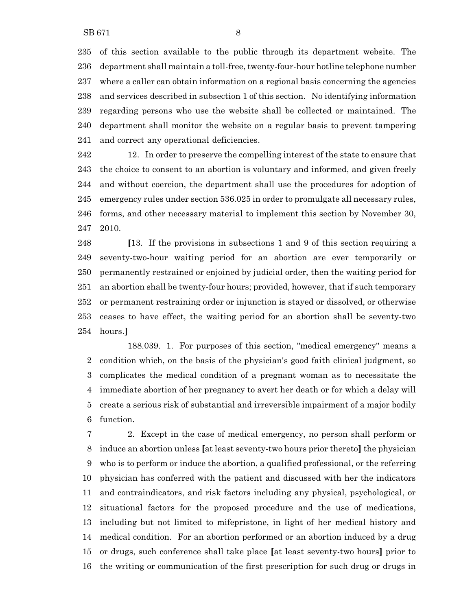of this section available to the public through its department website. The department shall maintain a toll-free, twenty-four-hour hotline telephone number where a caller can obtain information on a regional basis concerning the agencies and services described in subsection 1 of this section. No identifying information regarding persons who use the website shall be collected or maintained. The department shall monitor the website on a regular basis to prevent tampering and correct any operational deficiencies.

 12. In order to preserve the compelling interest of the state to ensure that the choice to consent to an abortion is voluntary and informed, and given freely and without coercion, the department shall use the procedures for adoption of emergency rules under section 536.025 in order to promulgate all necessary rules, forms, and other necessary material to implement this section by November 30, 2010.

 **[**13. If the provisions in subsections 1 and 9 of this section requiring a seventy-two-hour waiting period for an abortion are ever temporarily or permanently restrained or enjoined by judicial order, then the waiting period for an abortion shall be twenty-four hours; provided, however, that if such temporary or permanent restraining order or injunction is stayed or dissolved, or otherwise ceases to have effect, the waiting period for an abortion shall be seventy-two hours.**]**

188.039. 1. For purposes of this section, "medical emergency" means a condition which, on the basis of the physician's good faith clinical judgment, so complicates the medical condition of a pregnant woman as to necessitate the immediate abortion of her pregnancy to avert her death or for which a delay will create a serious risk of substantial and irreversible impairment of a major bodily function.

 2. Except in the case of medical emergency, no person shall perform or induce an abortion unless **[**at least seventy-two hours prior thereto**]** the physician who is to perform or induce the abortion, a qualified professional, or the referring physician has conferred with the patient and discussed with her the indicators and contraindicators, and risk factors including any physical, psychological, or situational factors for the proposed procedure and the use of medications, including but not limited to mifepristone, in light of her medical history and medical condition. For an abortion performed or an abortion induced by a drug or drugs, such conference shall take place **[**at least seventy-two hours**]** prior to the writing or communication of the first prescription for such drug or drugs in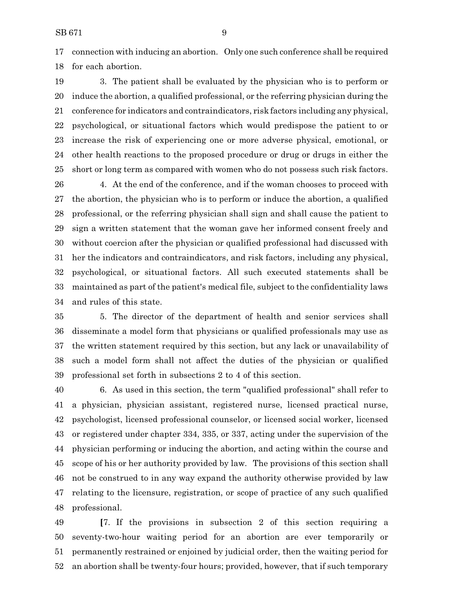connection with inducing an abortion. Only one such conference shall be required for each abortion.

 3. The patient shall be evaluated by the physician who is to perform or induce the abortion, a qualified professional, or the referring physician during the conference for indicators and contraindicators, risk factors including any physical, psychological, or situational factors which would predispose the patient to or increase the risk of experiencing one or more adverse physical, emotional, or other health reactions to the proposed procedure or drug or drugs in either the short or long term as compared with women who do not possess such risk factors.

 4. At the end of the conference, and if the woman chooses to proceed with the abortion, the physician who is to perform or induce the abortion, a qualified professional, or the referring physician shall sign and shall cause the patient to sign a written statement that the woman gave her informed consent freely and without coercion after the physician or qualified professional had discussed with her the indicators and contraindicators, and risk factors, including any physical, psychological, or situational factors. All such executed statements shall be maintained as part of the patient's medical file, subject to the confidentiality laws and rules of this state.

 5. The director of the department of health and senior services shall disseminate a model form that physicians or qualified professionals may use as the written statement required by this section, but any lack or unavailability of such a model form shall not affect the duties of the physician or qualified professional set forth in subsections 2 to 4 of this section.

 6. As used in this section, the term "qualified professional" shall refer to a physician, physician assistant, registered nurse, licensed practical nurse, psychologist, licensed professional counselor, or licensed social worker, licensed or registered under chapter 334, 335, or 337, acting under the supervision of the physician performing or inducing the abortion, and acting within the course and scope of his or her authority provided by law. The provisions of this section shall not be construed to in any way expand the authority otherwise provided by law relating to the licensure, registration, or scope of practice of any such qualified professional.

 **[**7. If the provisions in subsection 2 of this section requiring a seventy-two-hour waiting period for an abortion are ever temporarily or permanently restrained or enjoined by judicial order, then the waiting period for an abortion shall be twenty-four hours; provided, however, that if such temporary